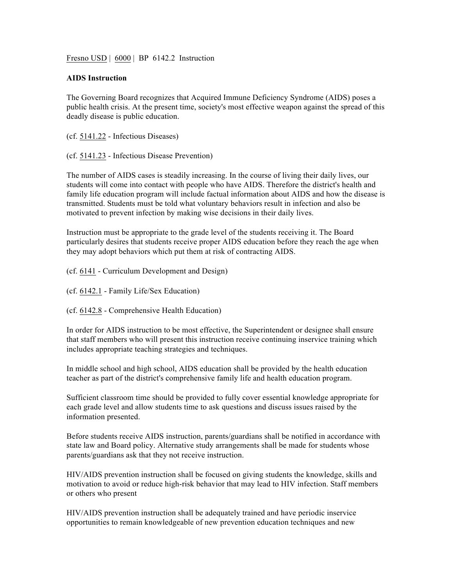Fresno USD | 6000 | BP 6142.2 Instruction

## **AIDS Instruction**

The Governing Board recognizes that Acquired Immune Deficiency Syndrome (AIDS) poses a public health crisis. At the present time, society's most effective weapon against the spread of this deadly disease is public education.

(cf. 5141.22 - Infectious Diseases)

(cf. 5141.23 - Infectious Disease Prevention)

The number of AIDS cases is steadily increasing. In the course of living their daily lives, our students will come into contact with people who have AIDS. Therefore the district's health and family life education program will include factual information about AIDS and how the disease is transmitted. Students must be told what voluntary behaviors result in infection and also be motivated to prevent infection by making wise decisions in their daily lives.

Instruction must be appropriate to the grade level of the students receiving it. The Board particularly desires that students receive proper AIDS education before they reach the age when they may adopt behaviors which put them at risk of contracting AIDS.

(cf. 6141 - Curriculum Development and Design)

(cf. 6142.1 - Family Life/Sex Education)

(cf. 6142.8 - Comprehensive Health Education)

In order for AIDS instruction to be most effective, the Superintendent or designee shall ensure that staff members who will present this instruction receive continuing inservice training which includes appropriate teaching strategies and techniques.

In middle school and high school, AIDS education shall be provided by the health education teacher as part of the district's comprehensive family life and health education program.

Sufficient classroom time should be provided to fully cover essential knowledge appropriate for each grade level and allow students time to ask questions and discuss issues raised by the information presented.

Before students receive AIDS instruction, parents/guardians shall be notified in accordance with state law and Board policy. Alternative study arrangements shall be made for students whose parents/guardians ask that they not receive instruction.

HIV/AIDS prevention instruction shall be focused on giving students the knowledge, skills and motivation to avoid or reduce high-risk behavior that may lead to HIV infection. Staff members or others who present

HIV/AIDS prevention instruction shall be adequately trained and have periodic inservice opportunities to remain knowledgeable of new prevention education techniques and new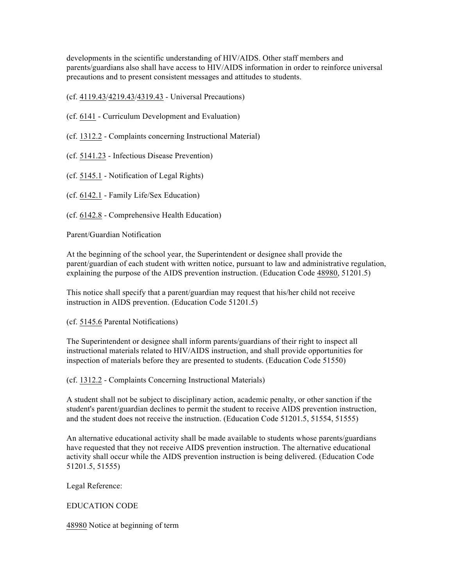developments in the scientific understanding of HIV/AIDS. Other staff members and parents/guardians also shall have access to HIV/AIDS information in order to reinforce universal precautions and to present consistent messages and attitudes to students.

(cf. 4119.43/4219.43/4319.43 - Universal Precautions)

- (cf. 6141 Curriculum Development and Evaluation)
- (cf. 1312.2 Complaints concerning Instructional Material)
- (cf. 5141.23 Infectious Disease Prevention)
- (cf. 5145.1 Notification of Legal Rights)
- (cf. 6142.1 Family Life/Sex Education)
- (cf. 6142.8 Comprehensive Health Education)

Parent/Guardian Notification

At the beginning of the school year, the Superintendent or designee shall provide the parent/guardian of each student with written notice, pursuant to law and administrative regulation, explaining the purpose of the AIDS prevention instruction. (Education Code 48980, 51201.5)

This notice shall specify that a parent/guardian may request that his/her child not receive instruction in AIDS prevention. (Education Code 51201.5)

(cf. 5145.6 Parental Notifications)

The Superintendent or designee shall inform parents/guardians of their right to inspect all instructional materials related to HIV/AIDS instruction, and shall provide opportunities for inspection of materials before they are presented to students. (Education Code 51550)

(cf. 1312.2 - Complaints Concerning Instructional Materials)

A student shall not be subject to disciplinary action, academic penalty, or other sanction if the student's parent/guardian declines to permit the student to receive AIDS prevention instruction, and the student does not receive the instruction. (Education Code 51201.5, 51554, 51555)

An alternative educational activity shall be made available to students whose parents/guardians have requested that they not receive AIDS prevention instruction. The alternative educational activity shall occur while the AIDS prevention instruction is being delivered. (Education Code 51201.5, 51555)

Legal Reference:

## EDUCATION CODE

48980 Notice at beginning of term